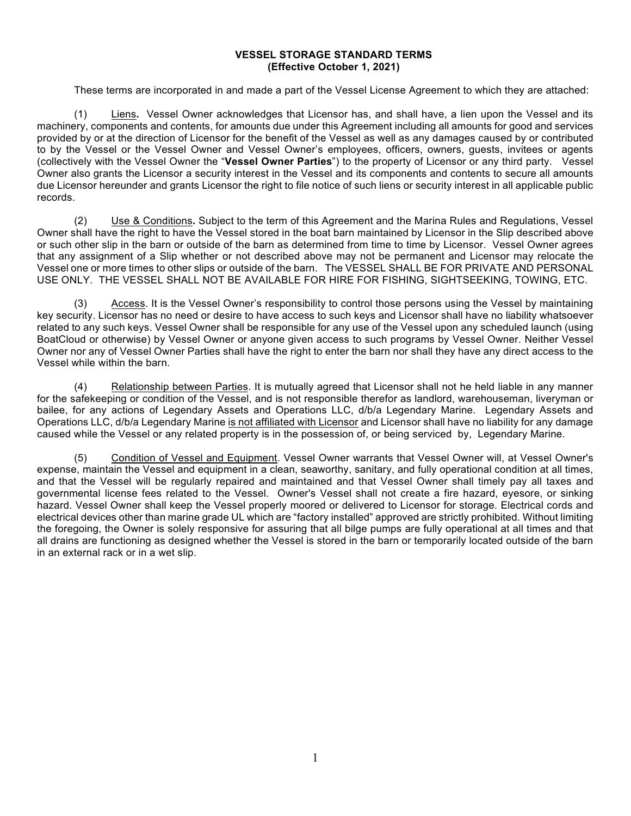## **VESSEL STORAGE STANDARD TERMS (Effective October 1, 2021)**

These terms are incorporated in and made a part of the Vessel License Agreement to which they are attached:

(1) Liens**.** Vessel Owner acknowledges that Licensor has, and shall have, a lien upon the Vessel and its machinery, components and contents, for amounts due under this Agreement including all amounts for good and services provided by or at the direction of Licensor for the benefit of the Vessel as well as any damages caused by or contributed to by the Vessel or the Vessel Owner and Vessel Owner's employees, officers, owners, guests, invitees or agents (collectively with the Vessel Owner the "**Vessel Owner Parties**") to the property of Licensor or any third party. Vessel Owner also grants the Licensor a security interest in the Vessel and its components and contents to secure all amounts due Licensor hereunder and grants Licensor the right to file notice of such liens or security interest in all applicable public records.

(2) Use & Conditions**.** Subject to the term of this Agreement and the Marina Rules and Regulations, Vessel Owner shall have the right to have the Vessel stored in the boat barn maintained by Licensor in the Slip described above or such other slip in the barn or outside of the barn as determined from time to time by Licensor. Vessel Owner agrees that any assignment of a Slip whether or not described above may not be permanent and Licensor may relocate the Vessel one or more times to other slips or outside of the barn. The VESSEL SHALL BE FOR PRIVATE AND PERSONAL USE ONLY. THE VESSEL SHALL NOT BE AVAILABLE FOR HIRE FOR FISHING, SIGHTSEEKING, TOWING, ETC.

(3) Access. It is the Vessel Owner's responsibility to control those persons using the Vessel by maintaining key security. Licensor has no need or desire to have access to such keys and Licensor shall have no liability whatsoever related to any such keys. Vessel Owner shall be responsible for any use of the Vessel upon any scheduled launch (using BoatCloud or otherwise) by Vessel Owner or anyone given access to such programs by Vessel Owner. Neither Vessel Owner nor any of Vessel Owner Parties shall have the right to enter the barn nor shall they have any direct access to the Vessel while within the barn.

(4) Relationship between Parties. It is mutually agreed that Licensor shall not he held liable in any manner for the safekeeping or condition of the Vessel, and is not responsible therefor as landlord, warehouseman, liveryman or bailee, for any actions of Legendary Assets and Operations LLC, d/b/a Legendary Marine. Legendary Assets and Operations LLC, d/b/a Legendary Marine is not affiliated with Licensor and Licensor shall have no liability for any damage caused while the Vessel or any related property is in the possession of, or being serviced by, Legendary Marine.

(5) Condition of Vessel and Equipment. Vessel Owner warrants that Vessel Owner will, at Vessel Owner's expense, maintain the Vessel and equipment in a clean, seaworthy, sanitary, and fully operational condition at all times, and that the Vessel will be regularly repaired and maintained and that Vessel Owner shall timely pay all taxes and governmental license fees related to the Vessel. Owner's Vessel shall not create a fire hazard, eyesore, or sinking hazard. Vessel Owner shall keep the Vessel properly moored or delivered to Licensor for storage. Electrical cords and electrical devices other than marine grade UL which are "factory installed" approved are strictly prohibited. Without limiting the foregoing, the Owner is solely responsive for assuring that all bilge pumps are fully operational at all times and that all drains are functioning as designed whether the Vessel is stored in the barn or temporarily located outside of the barn in an external rack or in a wet slip.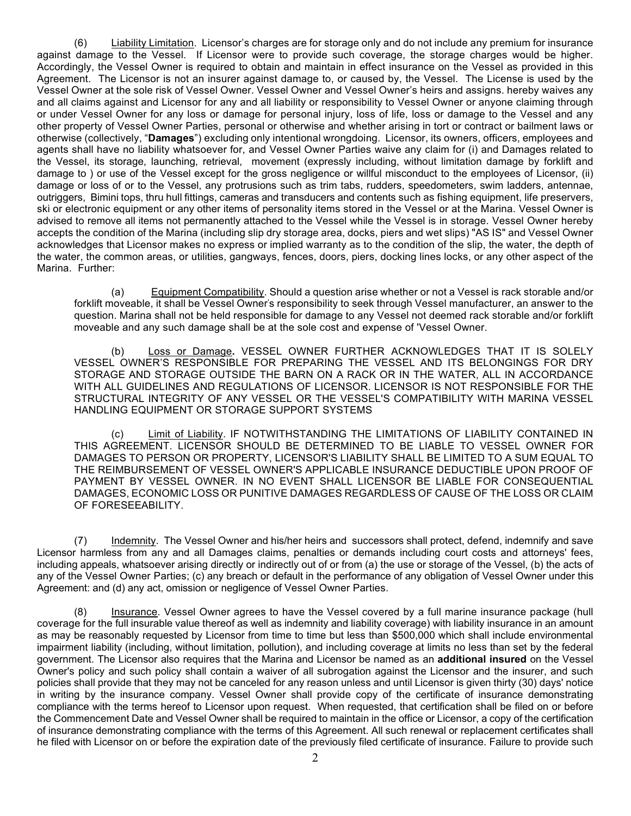(6) Liability Limitation. Licensor's charges are for storage only and do not include any premium for insurance against damage to the Vessel. If Licensor were to provide such coverage, the storage charges would be higher. Accordingly, the Vessel Owner is required to obtain and maintain in effect insurance on the Vessel as provided in this Agreement. The Licensor is not an insurer against damage to, or caused by, the Vessel. The License is used by the Vessel Owner at the sole risk of Vessel Owner. Vessel Owner and Vessel Owner's heirs and assigns. hereby waives any and all claims against and Licensor for any and all liability or responsibility to Vessel Owner or anyone claiming through or under Vessel Owner for any loss or damage for personal injury, loss of life, loss or damage to the Vessel and any other property of Vessel Owner Parties, personal or otherwise and whether arising in tort or contract or bailment laws or otherwise (collectively, "**Damages**") excluding only intentional wrongdoing. Licensor, its owners, officers, employees and agents shall have no liability whatsoever for, and Vessel Owner Parties waive any claim for (i) and Damages related to the Vessel, its storage, launching, retrieval, movement (expressly including, without limitation damage by forklift and damage to ) or use of the Vessel except for the gross negligence or willful misconduct to the employees of Licensor, (ii) damage or loss of or to the Vessel, any protrusions such as trim tabs, rudders, speedometers, swim ladders, antennae, outriggers, Bimini tops, thru hull fittings, cameras and transducers and contents such as fishing equipment, life preservers, ski or electronic equipment or any other items of personality items stored in the Vessel or at the Marina. Vessel Owner is advised to remove all items not permanently attached to the Vessel while the Vessel is in storage. Vessel Owner hereby accepts the condition of the Marina (including slip dry storage area, docks, piers and wet slips) "AS IS" and Vessel Owner acknowledges that Licensor makes no express or implied warranty as to the condition of the slip, the water, the depth of the water, the common areas, or utilities, gangways, fences, doors, piers, docking lines locks, or any other aspect of the Marina. Further:

(a) Equipment Compatibility. Should a question arise whether or not a Vessel is rack storable and/or forklift moveable, it shall be Vessel Owner's responsibility to seek through Vessel manufacturer, an answer to the question. Marina shall not be held responsible for damage to any Vessel not deemed rack storable and/or forklift moveable and any such damage shall be at the sole cost and expense of 'Vessel Owner.

(b) Loss or Damage**.** VESSEL OWNER FURTHER ACKNOWLEDGES THAT IT IS SOLELY VESSEL OWNER'S RESPONSIBLE FOR PREPARING THE VESSEL AND ITS BELONGINGS FOR DRY STORAGE AND STORAGE OUTSIDE THE BARN ON A RACK OR IN THE WATER, ALL IN ACCORDANCE WITH ALL GUIDELINES AND REGULATIONS OF LICENSOR. LICENSOR IS NOT RESPONSIBLE FOR THE STRUCTURAL INTEGRITY OF ANY VESSEL OR THE VESSEL'S COMPATIBILITY WITH MARINA VESSEL HANDLING EQUIPMENT OR STORAGE SUPPORT SYSTEMS

(c) Limit of Liability. IF NOTWITHSTANDING THE LIMITATIONS OF LIABILITY CONTAINED IN THIS AGREEMENT. LICENSOR SHOULD BE DETERMINED TO BE LIABLE TO VESSEL OWNER FOR DAMAGES TO PERSON OR PROPERTY, LICENSOR'S LIABILITY SHALL BE LIMITED TO A SUM EQUAL TO THE REIMBURSEMENT OF VESSEL OWNER'S APPLICABLE INSURANCE DEDUCTIBLE UPON PROOF OF PAYMENT BY VESSEL OWNER. IN NO EVENT SHALL LICENSOR BE LIABLE FOR CONSEQUENTIAL DAMAGES, ECONOMIC LOSS OR PUNITIVE DAMAGES REGARDLESS OF CAUSE OF THE LOSS OR CLAIM OF FORESEEABILITY.

(7) Indemnity. The Vessel Owner and his/her heirs and successors shall protect, defend, indemnify and save Licensor harmless from any and all Damages claims, penalties or demands including court costs and attorneys' fees, including appeals, whatsoever arising directly or indirectly out of or from (a) the use or storage of the Vessel, (b) the acts of any of the Vessel Owner Parties; (c) any breach or default in the performance of any obligation of Vessel Owner under this Agreement: and (d) any act, omission or negligence of Vessel Owner Parties.

(8) Insurance. Vessel Owner agrees to have the Vessel covered by a full marine insurance package (hull coverage for the full insurable value thereof as well as indemnity and liability coverage) with liability insurance in an amount as may be reasonably requested by Licensor from time to time but less than \$500,000 which shall include environmental impairment liability (including, without limitation, pollution), and including coverage at limits no less than set by the federal government. The Licensor also requires that the Marina and Licensor be named as an **additional insured** on the Vessel Owner's policy and such policy shall contain a waiver of all subrogation against the Licensor and the insurer, and such policies shall provide that they may not be canceled for any reason unless and until Licensor is given thirty (30) days' notice in writing by the insurance company. Vessel Owner shall provide copy of the certificate of insurance demonstrating compliance with the terms hereof to Licensor upon request. When requested, that certification shall be filed on or before the Commencement Date and Vessel Owner shall be required to maintain in the office or Licensor, a copy of the certification of insurance demonstrating compliance with the terms of this Agreement. All such renewal or replacement certificates shall he filed with Licensor on or before the expiration date of the previously filed certificate of insurance. Failure to provide such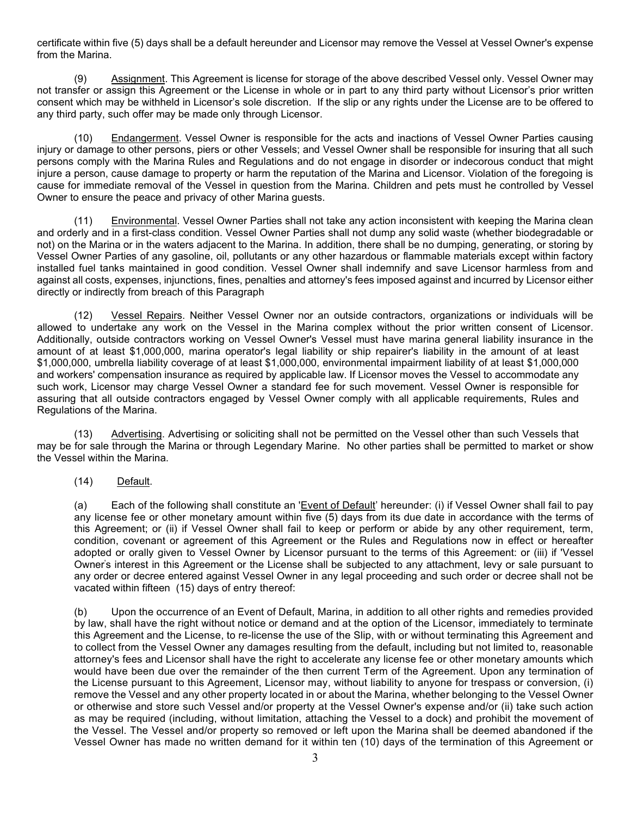certificate within five (5) days shall be a default hereunder and Licensor may remove the Vessel at Vessel Owner's expense from the Marina.

(9) Assignment. This Agreement is license for storage of the above described Vessel only. Vessel Owner may not transfer or assign this Agreement or the License in whole or in part to any third party without Licensor's prior written consent which may be withheld in Licensor's sole discretion. If the slip or any rights under the License are to be offered to any third party, such offer may be made only through Licensor.

(10) Endangerment. Vessel Owner is responsible for the acts and inactions of Vessel Owner Parties causing injury or damage to other persons, piers or other Vessels; and Vessel Owner shall be responsible for insuring that all such persons comply with the Marina Rules and Regulations and do not engage in disorder or indecorous conduct that might injure a person, cause damage to property or harm the reputation of the Marina and Licensor. Violation of the foregoing is cause for immediate removal of the Vessel in question from the Marina. Children and pets must he controlled by Vessel Owner to ensure the peace and privacy of other Marina guests.

(11) Environmental. Vessel Owner Parties shall not take any action inconsistent with keeping the Marina clean and orderly and in a first-class condition. Vessel Owner Parties shall not dump any solid waste (whether biodegradable or not) on the Marina or in the waters adjacent to the Marina. In addition, there shall be no dumping, generating, or storing by Vessel Owner Parties of any gasoline, oil, pollutants or any other hazardous or flammable materials except within factory installed fuel tanks maintained in good condition. Vessel Owner shall indemnify and save Licensor harmless from and against all costs, expenses, injunctions, fines, penalties and attorney's fees imposed against and incurred by Licensor either directly or indirectly from breach of this Paragraph

(12) Vessel Repairs. Neither Vessel Owner nor an outside contractors, organizations or individuals will be allowed to undertake any work on the Vessel in the Marina complex without the prior written consent of Licensor. Additionally, outside contractors working on Vessel Owner's Vessel must have marina general liability insurance in the amount of at least \$1,000,000, marina operator's legal liability or ship repairer's liability in the amount of at least \$1,000,000, umbrella liability coverage of at least \$1,000,000, environmental impairment liability of at least \$1,000,000 and workers' compensation insurance as required by applicable law. If Licensor moves the Vessel to accommodate any such work, Licensor may charge Vessel Owner a standard fee for such movement. Vessel Owner is responsible for assuring that all outside contractors engaged by Vessel Owner comply with all applicable requirements, Rules and Regulations of the Marina.

(13) Advertising. Advertising or soliciting shall not be permitted on the Vessel other than such Vessels that may be for sale through the Marina or through Legendary Marine. No other parties shall be permitted to market or show the Vessel within the Marina.

(14)Default.

(a) Each of the following shall constitute an 'Event of Default' hereunder: (i) if Vessel Owner shall fail to pay any license fee or other monetary amount within five (5) days from its due date in accordance with the terms of this Agreement; or (ii) if Vessel Owner shall fail to keep or perform or abide by any other requirement, term, condition, covenant or agreement of this Agreement or the Rules and Regulations now in effect or hereafter adopted or orally given to Vessel Owner by Licensor pursuant to the terms of this Agreement: or (iii) if 'Vessel Owner' s interest in this Agreement or the License shall be subjected to any attachment, levy or sale pursuant to any order or decree entered against Vessel Owner in any legal proceeding and such order or decree shall not be vacated within fifteen (15) days of entry thereof:

(b) Upon the occurrence of an Event of Default, Marina, in addition to all other rights and remedies provided by law, shall have the right without notice or demand and at the option of the Licensor, immediately to terminate this Agreement and the License, to re-license the use of the Slip, with or without terminating this Agreement and to collect from the Vessel Owner any damages resulting from the default, including but not limited to, reasonable attorney's fees and Licensor shall have the right to accelerate any license fee or other monetary amounts which would have been due over the remainder of the then current Term of the Agreement. Upon any termination of the License pursuant to this Agreement, Licensor may, without liability to anyone for trespass or conversion, (i) remove the Vessel and any other property located in or about the Marina, whether belonging to the Vessel Owner or otherwise and store such Vessel and/or property at the Vessel Owner's expense and/or (ii) take such action as may be required (including, without limitation, attaching the Vessel to a dock) and prohibit the movement of the Vessel. The Vessel and/or property so removed or left upon the Marina shall be deemed abandoned if the Vessel Owner has made no written demand for it within ten (10) days of the termination of this Agreement or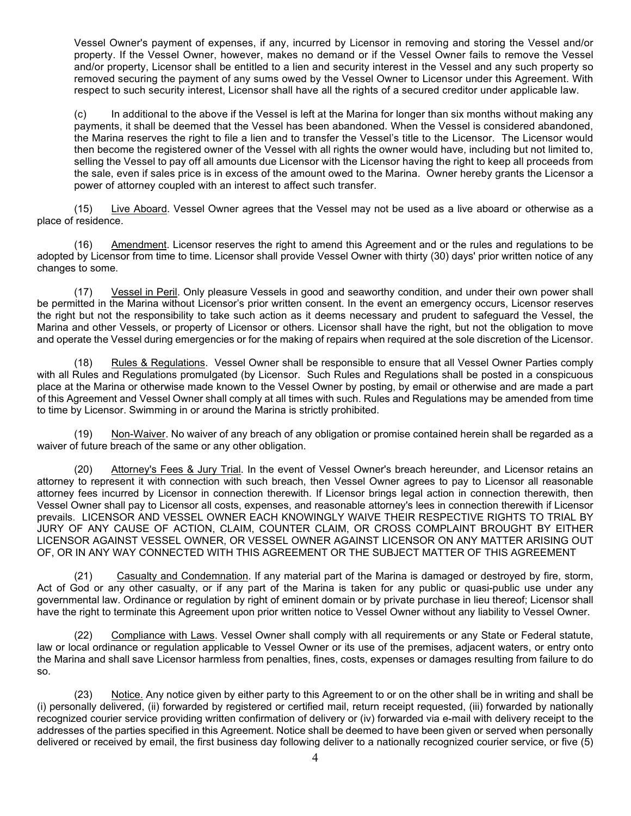Vessel Owner's payment of expenses, if any, incurred by Licensor in removing and storing the Vessel and/or property. If the Vessel Owner, however, makes no demand or if the Vessel Owner fails to remove the Vessel and/or property, Licensor shall be entitled to a lien and security interest in the Vessel and any such property so removed securing the payment of any sums owed by the Vessel Owner to Licensor under this Agreement. With respect to such security interest, Licensor shall have all the rights of a secured creditor under applicable law.

(c) In additional to the above if the Vessel is left at the Marina for longer than six months without making any payments, it shall be deemed that the Vessel has been abandoned. When the Vessel is considered abandoned, the Marina reserves the right to file a lien and to transfer the Vessel's title to the Licensor. The Licensor would then become the registered owner of the Vessel with all rights the owner would have, including but not limited to, selling the Vessel to pay off all amounts due Licensor with the Licensor having the right to keep all proceeds from the sale, even if sales price is in excess of the amount owed to the Marina. Owner hereby grants the Licensor a power of attorney coupled with an interest to affect such transfer.

(15) Live Aboard. Vessel Owner agrees that the Vessel may not be used as a live aboard or otherwise as a place of residence.

(16) Amendment. Licensor reserves the right to amend this Agreement and or the rules and regulations to be adopted by Licensor from time to time. Licensor shall provide Vessel Owner with thirty (30) days' prior written notice of any changes to some.

(17) Vessel in Peril. Only pleasure Vessels in good and seaworthy condition, and under their own power shall be permitted in the Marina without Licensor's prior written consent. In the event an emergency occurs, Licensor reserves the right but not the responsibility to take such action as it deems necessary and prudent to safeguard the Vessel, the Marina and other Vessels, or property of Licensor or others. Licensor shall have the right, but not the obligation to move and operate the Vessel during emergencies or for the making of repairs when required at the sole discretion of the Licensor.

(18) Rules & Regulations. Vessel Owner shall be responsible to ensure that all Vessel Owner Parties comply with all Rules and Regulations promulgated (by Licensor. Such Rules and Regulations shall be posted in a conspicuous place at the Marina or otherwise made known to the Vessel Owner by posting, by email or otherwise and are made a part of this Agreement and Vessel Owner shall comply at all times with such. Rules and Regulations may be amended from time to time by Licensor. Swimming in or around the Marina is strictly prohibited.

(19) Non-Waiver. No waiver of any breach of any obligation or promise contained herein shall be regarded as a waiver of future breach of the same or any other obligation.

(20) Attorney's Fees & Jury Trial. In the event of Vessel Owner's breach hereunder, and Licensor retains an attorney to represent it with connection with such breach, then Vessel Owner agrees to pay to Licensor all reasonable attorney fees incurred by Licensor in connection therewith. If Licensor brings legal action in connection therewith, then Vessel Owner shall pay to Licensor all costs, expenses, and reasonable attorney's lees in connection therewith if Licensor prevails. LICENSOR AND VESSEL OWNER EACH KNOWINGLY WAIVE THEIR RESPECTIVE RIGHTS TO TRIAL BY JURY OF ANY CAUSE OF ACTION, CLAIM, COUNTER CLAIM, OR CROSS COMPLAINT BROUGHT BY EITHER LICENSOR AGAINST VESSEL OWNER, OR VESSEL OWNER AGAINST LICENSOR ON ANY MATTER ARISING OUT OF, OR IN ANY WAY CONNECTED WITH THIS AGREEMENT OR THE SUBJECT MATTER OF THIS AGREEMENT

(21) Casualty and Condemnation. If any material part of the Marina is damaged or destroyed by fire, storm, Act of God or any other casualty, or if any part of the Marina is taken for any public or quasi-public use under any governmental law. Ordinance or regulation by right of eminent domain or by private purchase in lieu thereof; Licensor shall have the right to terminate this Agreement upon prior written notice to Vessel Owner without any liability to Vessel Owner.

(22) Compliance with Laws. Vessel Owner shall comply with all requirements or any State or Federal statute, law or local ordinance or regulation applicable to Vessel Owner or its use of the premises, adjacent waters, or entry onto the Marina and shall save Licensor harmless from penalties, fines, costs, expenses or damages resulting from failure to do so.

(23) Notice. Any notice given by either party to this Agreement to or on the other shall be in writing and shall be (i) personally delivered, (ii) forwarded by registered or certified mail, return receipt requested, (iii) forwarded by nationally recognized courier service providing written confirmation of delivery or (iv) forwarded via e-mail with delivery receipt to the addresses of the parties specified in this Agreement. Notice shall be deemed to have been given or served when personally delivered or received by email, the first business day following deliver to a nationally recognized courier service, or five (5)